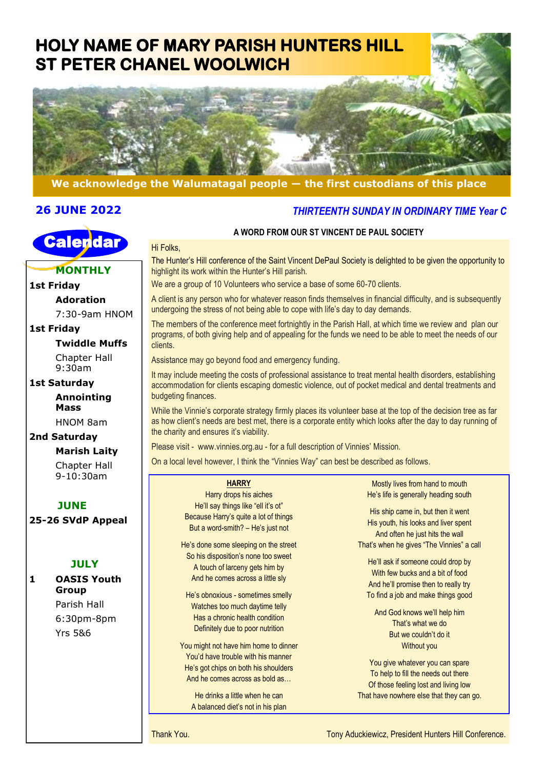# **HOLY NAME OF MARY PARISH HUNTERS HILL ST PETER CHANEL WOOLWICH**



## **We acknowledge the Walumatagal people — the first custodians of this place**

## **26 JUNE 2022**



## **MONTHLY**

# **1st Friday**

**Adoration** 7:30-9am HNOM

#### **1st Friday**

**Twiddle Muffs** Chapter Hall

9:30am

**1st Saturday Annointing Mass** HNOM 8am

**2nd Saturday**

**Marish Laity** Chapter Hall 9-10:30am

## **JUNE**

**25-26 SVdP Appeal**

## **JULY**

## **1 OASIS Youth Group**

Parish Hall 6:30pm-8pm Yrs 5&6

# *THIRTEENTH SUNDAY IN ORDINARY TIME Year C*

## **A WORD FROM OUR ST VINCENT DE PAUL SOCIETY**

#### Hi Folks,

The Hunter's Hill conference of the Saint Vincent DePaul Society is delighted to be given the opportunity to highlight its work within the Hunter's Hill parish.

We are a group of 10 Volunteers who service a base of some 60-70 clients.

A client is any person who for whatever reason finds themselves in financial difficulty, and is subsequently undergoing the stress of not being able to cope with life's day to day demands.

The members of the conference meet fortnightly in the Parish Hall, at which time we review and plan our programs, of both giving help and of appealing for the funds we need to be able to meet the needs of our clients.

Assistance may go beyond food and emergency funding.

It may include meeting the costs of professional assistance to treat mental health disorders, establishing accommodation for clients escaping domestic violence, out of pocket medical and dental treatments and budgeting finances.

While the Vinnie's corporate strategy firmly places its volunteer base at the top of the decision tree as far as how client's needs are best met, there is a corporate entity which looks after the day to day running of the charity and ensures it's viability.

Please visit - www.vinnies.org.au - for a full description of Vinnies' Mission.

On a local level however, I think the "Vinnies Way" can best be described as follows.

#### **HARRY**

Harry drops his aiches He'll say things like "ell it's ot" Because Harry's quite a lot of things But a word-smith? – He's just not

He's done some sleeping on the street So his disposition's none too sweet A touch of larceny gets him by And he comes across a little sly

He's obnoxious - sometimes smelly Watches too much daytime telly Has a chronic health condition Definitely due to poor nutrition

You might not have him home to dinner You'd have trouble with his manner He's got chips on both his shoulders And he comes across as bold as…

He drinks a little when he can A balanced diet's not in his plan

Mostly lives from hand to mouth He's life is generally heading south

His ship came in, but then it went His youth, his looks and liver spent And often he just hits the wall That's when he gives "The Vinnies" a call

He'll ask if someone could drop by With few bucks and a bit of food And he'll promise then to really try To find a job and make things good

And God knows we'll help him That's what we do But we couldn't do it Without you

You give whatever you can spare To help to fill the needs out there Of those feeling lost and living low That have nowhere else that they can go.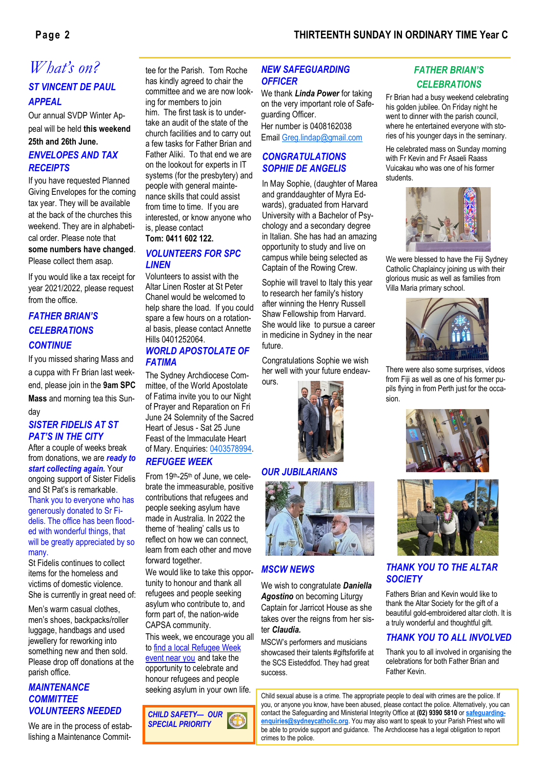# *ST VINCENT DE PAUL APPEAL What's on?* **bee** for the Parish. Tom Roche

Our annual SVDP Winter Appeal will be held **this weekend** 

## **25th and 26th June.**  *ENVELOPES AND TAX RECEIPTS*

If you have requested Planned Giving Envelopes for the coming tax year. They will be available at the back of the churches this weekend. They are in alphabetical order. Please note that **some numbers have changed**. Please collect them asap.

If you would like a tax receipt for year 2021/2022, please request from the office.

## *FATHER BRIAN'S CELEBRATIONS CONTINUE*

If you missed sharing Mass and a cuppa with Fr Brian last weekend, please join in the **9am SPC Mass** and morning tea this Sunday

## *SISTER FIDELIS AT ST PAT'S IN THE CITY*

After a couple of weeks break from donations, we are *ready to start collecting again.* Your ongoing support of Sister Fidelis and St Pat's is remarkable. Thank you to everyone who has generously donated to Sr Fidelis. The office has been flooded with wonderful things, that will be greatly appreciated by so many.

St Fidelis continues to collect items for the homeless and victims of domestic violence. She is currently in great need of:

Men's warm casual clothes, men's shoes, backpacks/roller luggage, handbags and used jewellery for reworking into something new and then sold. Please drop off donations at the parish office.

## *MAINTENANCE COMMITTEE VOLUNTEERS NEEDED*

We are in the process of establishing a Maintenance Commithas kindly agreed to chair the committee and we are now looking for members to join him. The first task is to undertake an audit of the state of the church facilities and to carry out a few tasks for Father Brian and Father Aliki. To that end we are on the lookout for experts in IT systems (for the presbytery) and people with general maintenance skills that could assist from time to time. If you are interested, or know anyone who is, please contact

## **Tom: 0411 602 122.** *VOLUNTEERS FOR SPC LINEN*

Volunteers to assist with the Altar Linen Roster at St Peter Chanel would be welcomed to help share the load. If you could spare a few hours on a rotational basis, please contact Annette Hills 0401252064.

## *WORLD APOSTOLATE OF FATIMA*

The Sydney Archdiocese Committee, of the World Apostolate of Fatima invite you to our Night of Prayer and Reparation on Fri June 24 Solemnity of the Sacred Heart of Jesus - Sat 25 June Feast of the Immaculate Heart of Mary. Enquiries: [0403578994.](tel:0403578994)

## *[REFUGEE WEEK](https://nam12.safelinks.protection.outlook.com/?url=https%3A%2F%2Fjesuitsocialservices.cmail20.com%2Ft%2Fj-l-vaulik-ikkkkrkrkr-j%2F&data=05%7C01%7C%7Cf562e336e9d1421fd38e08da527f4ead%7C84df9e7fe9f640afb435aaaaaaaaaaaa%7C1%7C0%7C637913004025188199%7CUnknown%7C)*

From 19th-25th of June, we celebrate the immeasurable, positive contributions that refugees and people seeking asylum have made in Australia. In 2022 the theme of 'healing' calls us to reflect on how we can connect, learn from each other and move forward together.

We would like to take this opportunity to honour and thank all refugees and people seeking asylum who contribute to, and form part of, the nation-wide CAPSA community.

## This week, we encourage you all to [find a local Refugee Week](https://nam12.safelinks.protection.outlook.com/?url=https%3A%2F%2Fjesuitsocialservices.cmail20.com%2Ft%2Fj-l-vaulik-ikkkkrkrkr-t%2F&data=05%7C01%7C%7Cf562e336e9d1421fd38e08da527f4ead%7C84df9e7fe9f640afb435aaaaaaaaaaaa%7C1%7C0%7C637913004025188199%7CUnknown%7C)

[event near you](https://nam12.safelinks.protection.outlook.com/?url=https%3A%2F%2Fjesuitsocialservices.cmail20.com%2Ft%2Fj-l-vaulik-ikkkkrkrkr-t%2F&data=05%7C01%7C%7Cf562e336e9d1421fd38e08da527f4ead%7C84df9e7fe9f640afb435aaaaaaaaaaaa%7C1%7C0%7C637913004025188199%7CUnknown%7C) and take the opportunity to celebrate and honour refugees and people seeking asylum in your own life.

*CHILD SAFETY— OUR SPECIAL PRIORITY*

## *NEW SAFEGUARDING OFFICER*

We thank *Linda Power* for taking on the very important role of Safeguarding Officer. Her number is 0408162038

Email [Greg.lindap@gmail.com](mailto:Greg.lindap@gmail.com)

## *CONGRATULATIONS SOPHIE DE ANGELIS*

In May Sophie, (daughter of Marea and granddaughter of Myra Edwards), graduated from Harvard University with a Bachelor of Psychology and a secondary degree in Italian. She has had an amazing opportunity to study and live on campus while being selected as Captain of the Rowing Crew.

Sophie will travel to Italy this year to research her family's history after winning the Henry Russell Shaw Fellowship from Harvard. She would like to pursue a career in medicine in Sydney in the near future.

Congratulations Sophie we wish her well with your future endeav-



## *OUR JUBILARIANS*

ours.



## *MSCW NEWS*

We wish to congratulate *Daniella Agostino* on becoming Liturgy Captain for Jarricot House as she takes over the reigns from her sister *Claudia.*

MSCW's performers and musicians showcased their talents #giftsforlife at the SCS Eisteddfod. They had great success.

## *FATHER BRIAN'S CELEBRATIONS*

Fr Brian had a busy weekend celebrating his golden jubilee. On Friday night he went to dinner with the parish council, where he entertained everyone with stories of his younger days in the seminary.

He celebrated mass on Sunday morning with Fr Kevin and Fr Asaeli Raass Vuicakau who was one of his former students.



We were blessed to have the Fiji Sydney Catholic Chaplaincy joining us with their glorious music as well as families from Villa Maria primary school.



There were also some surprises, videos from Fiji as well as one of his former pupils flying in from Perth just for the occasion.





## *THANK YOU TO THE ALTAR SOCIETY*

Fathers Brian and Kevin would like to thank the Altar Society for the gift of a beautiful gold-embroidered altar cloth. It is a truly wonderful and thoughtful gift.

## *THANK YOU TO ALL INVOLVED*

Thank you to all involved in organising the celebrations for both Father Brian and Father Kevin.

Child sexual abuse is a crime. The appropriate people to deal with crimes are the police. If you, or anyone you know, have been abused, please contact the police. Alternatively, you can contact the Safeguarding and Ministerial Integrity Office at **(02) 9390 5810** or **[safeguarding](mailto:safeguardingenquiries@sydneycatholic.org)[enquiries@sydneycatholic.org](mailto:safeguardingenquiries@sydneycatholic.org)**. You may also want to speak to your Parish Priest who will be able to provide support and guidance. The Archdiocese has a legal obligation to report crimes to the police.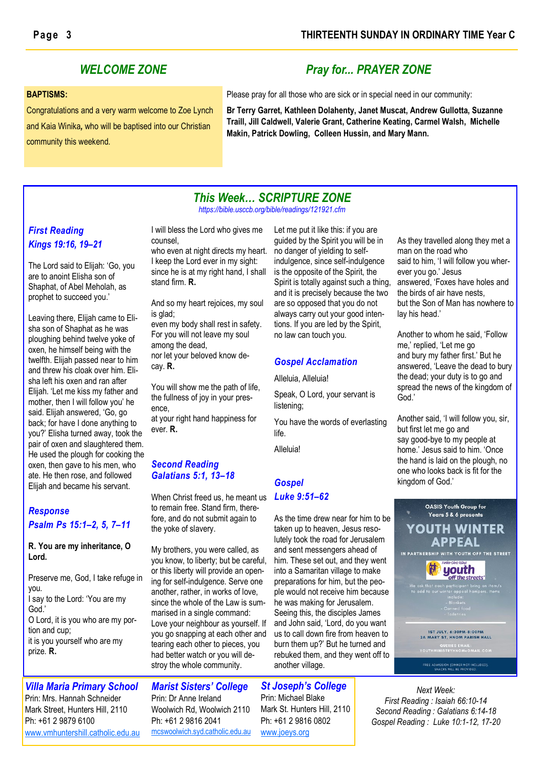## *WELCOME ZONE*

#### **BAPTISMS:**

Congratulations and a very warm welcome to Zoe Lynch and Kaia Winika*,* who will be baptised into our Christian community this weekend.

# *Pray for... PRAYER ZONE*

Please pray for all those who are sick or in special need in our community:

**Br Terry Garret, Kathleen Dolahenty, Janet Muscat, Andrew Gullotta, Suzanne Traill, Jill Caldwell, Valerie Grant, Catherine Keating, Carmel Walsh, Michelle Makin, Patrick Dowling, Colleen Hussin, and Mary Mann.**

## *This Week… SCRIPTURE ZONE*

*https://bible.usccb.org/bible/readings/121921.cfm*

## *First Reading Kings 19:16, 19–21*

The Lord said to Elijah: 'Go, you are to anoint Elisha son of Shaphat, of Abel Meholah, as prophet to succeed you.'

Leaving there, Elijah came to Elisha son of Shaphat as he was ploughing behind twelve yoke of oxen, he himself being with the twelfth. Elijah passed near to him and threw his cloak over him. Elisha left his oxen and ran after Elijah. 'Let me kiss my father and mother, then I will follow you' he said. Elijah answered, 'Go, go back; for have I done anything to you?' Elisha turned away, took the pair of oxen and slaughtered them. He used the plough for cooking the oxen, then gave to his men, who ate. He then rose, and followed Elijah and became his servant.

## *Response Psalm Ps 15:1–2, 5, 7–11*

#### **R. You are my inheritance, O Lord.**

Preserve me, God, I take refuge in you. I say to the Lord: 'You are my God.' O Lord, it is you who are my portion and cup; it is you yourself who are my prize. **R.**

I will bless the Lord who gives me counsel,

who even at night directs my heart. I keep the Lord ever in my sight: since he is at my right hand. I shall stand firm. **R.**

And so my heart rejoices, my soul is glad;

even my body shall rest in safety. For you will not leave my soul among the dead, nor let your beloved know decay. **R.**

You will show me the path of life, the fullness of joy in your presence, at your right hand happiness for ever. **R.**

## *Second Reading Galatians 5:1, 13–18*

When Christ freed us, he meant us to remain free. Stand firm, therefore, and do not submit again to the yoke of slavery.

My brothers, you were called, as you know, to liberty; but be careful, or this liberty will provide an opening for self-indulgence. Serve one another, rather, in works of love, since the whole of the Law is summarised in a single command: Love your neighbour as yourself. If you go snapping at each other and tearing each other to pieces, you had better watch or you will destroy the whole community.

Let me put it like this: if you are guided by the Spirit you will be in no danger of yielding to selfindulgence, since self-indulgence is the opposite of the Spirit, the Spirit is totally against such a thing, and it is precisely because the two are so opposed that you do not always carry out your good intentions. If you are led by the Spirit, no law can touch you.

## *Gospel Acclamation*

Alleluia, Alleluia!

Speak, O Lord, your servant is listening;

You have the words of everlasting life.

Alleluia!

## *Gospel Luke 9:51–62*

As the time drew near for him to be taken up to heaven, Jesus resolutely took the road for Jerusalem and sent messengers ahead of him. These set out, and they went into a Samaritan village to make preparations for him, but the people would not receive him because he was making for Jerusalem. Seeing this, the disciples James and John said, 'Lord, do you want us to call down fire from heaven to burn them up?' But he turned and rebuked them, and they went off to another village.

# *St Joseph's College*

Prin: Michael Blake Mark St. Hunters Hill, 2110 Ph: +61 2 9816 0802 [www.joeys.org](mailto:www.joeys.org)

As they travelled along they met a man on the road who said to him, 'I will follow you wherever you go.' Jesus answered, 'Foxes have holes and the birds of air have nests, but the Son of Man has nowhere to lay his head.'

Another to whom he said, 'Follow me,' replied, 'Let me go and bury my father first.' But he answered, 'Leave the dead to bury the dead; your duty is to go and spread the news of the kingdom of God.'

Another said, 'I will follow you, sir, but first let me go and say good-bye to my people at home.' Jesus said to him. 'Once the hand is laid on the plough, no one who looks back is fit for the kingdom of God.'



*Villa Maria Primary School* Prin: Mrs. Hannah Schneider Mark Street, Hunters Hill, 2110 Ph: +61 2 9879 6100

www.vmhuntershill.catholic.edu.au

*Marist Sisters' College* Prin: Dr Anne Ireland Woolwich Rd, Woolwich 2110 Ph: +61 2 9816 2041 [mcswoolwich.syd.catholic.edu.au](https://nam12.safelinks.protection.outlook.com/?url=http%3A%2F%2Fmcswoolwich.syd.catholic.edu.au%2F&data=05%7C01%7C%7Cf360623cc0934985ef6e08da4e535f6a%7C84df9e7fe9f640afb435aaaaaaaaaaaa%7C1%7C0%7C637908417261179495%7CUnknown%7CTWFpbGZsb3d8eyJWIjoiMC4wLjAwMDAi)

*Next Week: First Reading : Isaiah 66:10-14 Second Reading : Galatians 6:14-18 Gospel Reading : Luke 10:1-12, 17-20*